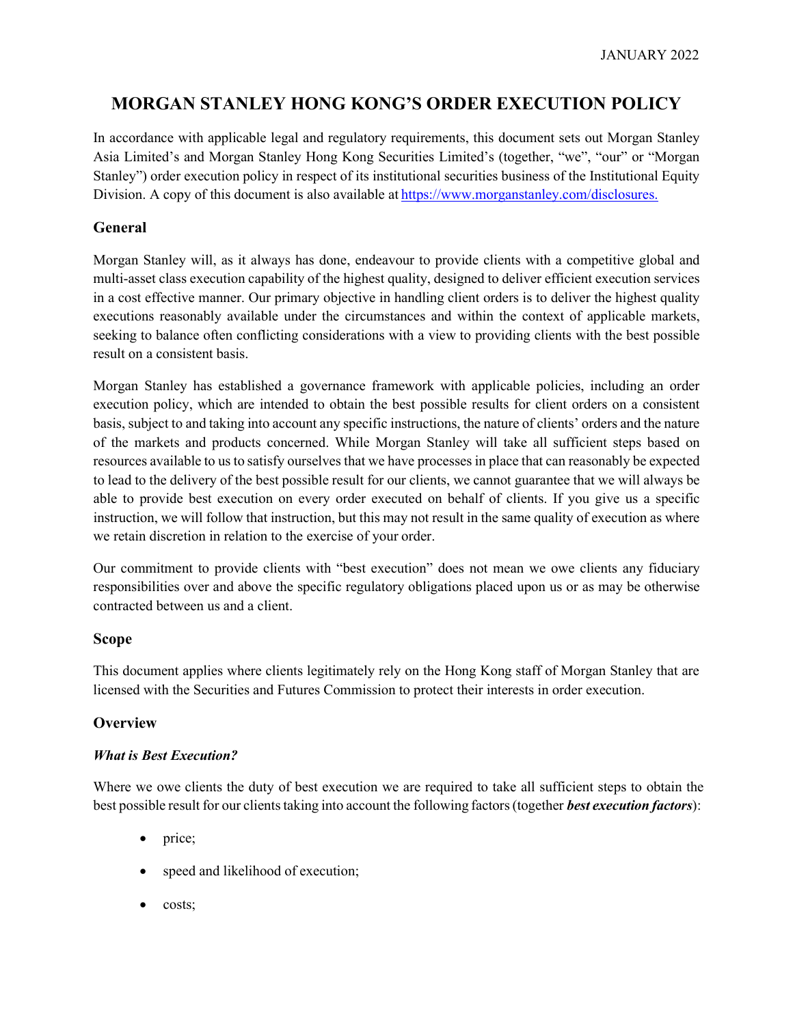# **MORGAN STANLEY HONG KONG'S ORDER EXECUTION POLICY**

In accordance with applicable legal and regulatory requirements, this document sets out Morgan Stanley Asia Limited's and Morgan Stanley Hong Kong Securities Limited's (together, "we", "our" or "Morgan Stanley") order execution policy in respect of its institutional securities business of the Institutional Equity Division. A copy of this document is also available at [https://www.morganstanley.com/disclosures.](https://www.morganstanley.com/disclosures)

# **General**

Morgan Stanley will, as it always has done, endeavour to provide clients with a competitive global and multi-asset class execution capability of the highest quality, designed to deliver efficient execution services in a cost effective manner. Our primary objective in handling client orders is to deliver the highest quality executions reasonably available under the circumstances and within the context of applicable markets, seeking to balance often conflicting considerations with a view to providing clients with the best possible result on a consistent basis.

Morgan Stanley has established a governance framework with applicable policies, including an order execution policy, which are intended to obtain the best possible results for client orders on a consistent basis, subject to and taking into account any specific instructions, the nature of clients' orders and the nature of the markets and products concerned. While Morgan Stanley will take all sufficient steps based on resources available to us to satisfy ourselves that we have processes in place that can reasonably be expected to lead to the delivery of the best possible result for our clients, we cannot guarantee that we will always be able to provide best execution on every order executed on behalf of clients. If you give us a specific instruction, we will follow that instruction, but this may not result in the same quality of execution as where we retain discretion in relation to the exercise of your order.

Our commitment to provide clients with "best execution" does not mean we owe clients any fiduciary responsibilities over and above the specific regulatory obligations placed upon us or as may be otherwise contracted between us and a client.

## **Scope**

This document applies where clients legitimately rely on the Hong Kong staff of Morgan Stanley that are licensed with the Securities and Futures Commission to protect their interests in order execution.

# **Overview**

## *What is Best Execution?*

Where we owe clients the duty of best execution we are required to take all sufficient steps to obtain the best possible result for our clientstaking into account the following factors(together *best execution factors*):

- price;
- speed and likelihood of execution;
- costs;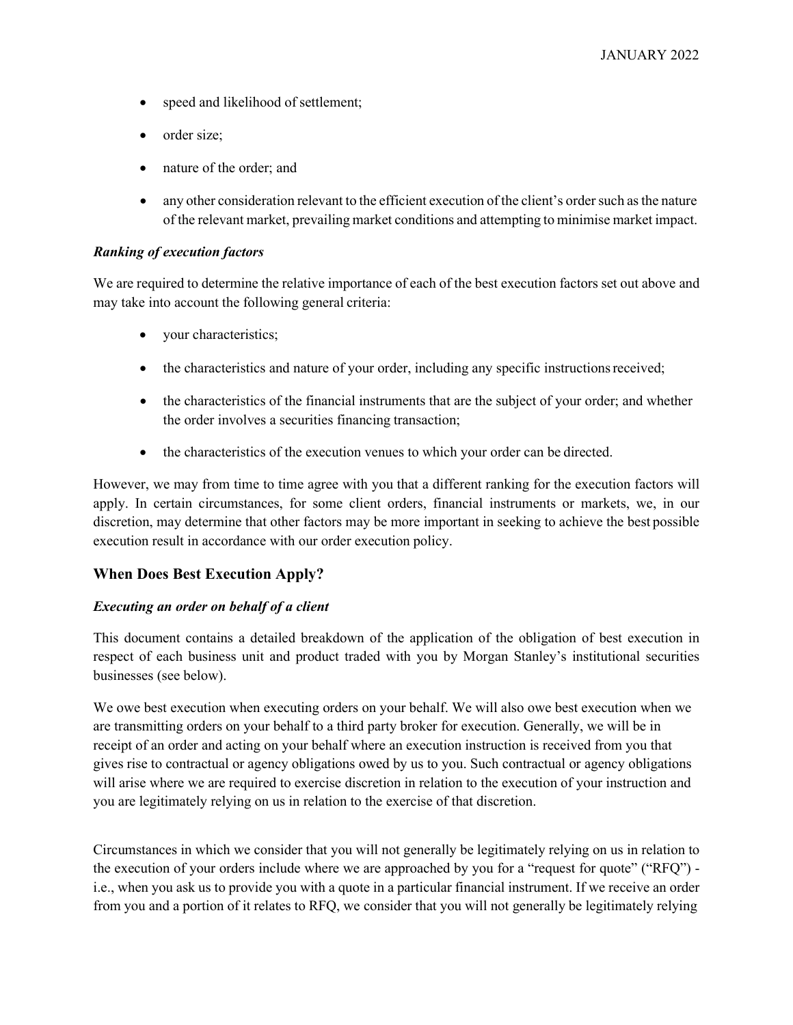- speed and likelihood of settlement;
- order size:
- nature of the order; and
- any other consideration relevant to the efficient execution of the client's order such as the nature of the relevant market, prevailing market conditions and attempting to minimise market impact.

## *Ranking of execution factors*

We are required to determine the relative importance of each of the best execution factors set out above and may take into account the following general criteria:

- your characteristics;
- the characteristics and nature of your order, including any specific instructions received;
- the characteristics of the financial instruments that are the subject of your order; and whether the order involves a securities financing transaction;
- the characteristics of the execution venues to which your order can be directed.

However, we may from time to time agree with you that a different ranking for the execution factors will apply. In certain circumstances, for some client orders, financial instruments or markets, we, in our discretion, may determine that other factors may be more important in seeking to achieve the best possible execution result in accordance with our order execution policy.

## **When Does Best Execution Apply?**

## *Executing an order on behalf of a client*

This document contains a detailed breakdown of the application of the obligation of best execution in respect of each business unit and product traded with you by Morgan Stanley's institutional securities businesses (see below).

We owe best execution when executing orders on your behalf. We will also owe best execution when we are transmitting orders on your behalf to a third party broker for execution. Generally, we will be in receipt of an order and acting on your behalf where an execution instruction is received from you that gives rise to contractual or agency obligations owed by us to you. Such contractual or agency obligations will arise where we are required to exercise discretion in relation to the execution of your instruction and you are legitimately relying on us in relation to the exercise of that discretion.

Circumstances in which we consider that you will not generally be legitimately relying on us in relation to the execution of your orders include where we are approached by you for a "request for quote" ("RFQ") i.e., when you ask us to provide you with a quote in a particular financial instrument. If we receive an order from you and a portion of it relates to RFQ, we consider that you will not generally be legitimately relying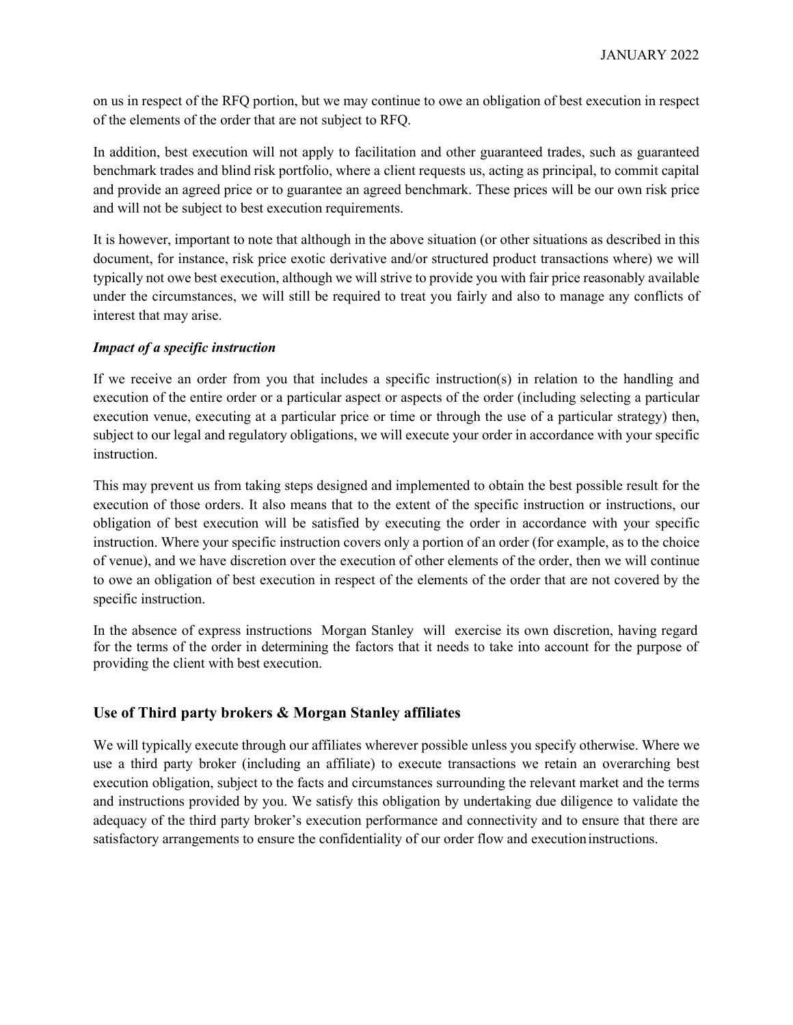on us in respect of the RFQ portion, but we may continue to owe an obligation of best execution in respect of the elements of the order that are not subject to RFQ.

In addition, best execution will not apply to facilitation and other guaranteed trades, such as guaranteed benchmark trades and blind risk portfolio, where a client requests us, acting as principal, to commit capital and provide an agreed price or to guarantee an agreed benchmark. These prices will be our own risk price and will not be subject to best execution requirements.

It is however, important to note that although in the above situation (or other situations as described in this document, for instance, risk price exotic derivative and/or structured product transactions where) we will typically not owe best execution, although we will strive to provide you with fair price reasonably available under the circumstances, we will still be required to treat you fairly and also to manage any conflicts of interest that may arise.

## *Impact of a specific instruction*

If we receive an order from you that includes a specific instruction(s) in relation to the handling and execution of the entire order or a particular aspect or aspects of the order (including selecting a particular execution venue, executing at a particular price or time or through the use of a particular strategy) then, subject to our legal and regulatory obligations, we will execute your order in accordance with your specific instruction.

This may prevent us from taking steps designed and implemented to obtain the best possible result for the execution of those orders. It also means that to the extent of the specific instruction or instructions, our obligation of best execution will be satisfied by executing the order in accordance with your specific instruction. Where your specific instruction covers only a portion of an order (for example, as to the choice of venue), and we have discretion over the execution of other elements of the order, then we will continue to owe an obligation of best execution in respect of the elements of the order that are not covered by the specific instruction.

In the absence of express instructions Morgan Stanley will exercise its own discretion, having regard for the terms of the order in determining the factors that it needs to take into account for the purpose of providing the client with best execution.

# **Use of Third party brokers & Morgan Stanley affiliates**

We will typically execute through our affiliates wherever possible unless you specify otherwise. Where we use a third party broker (including an affiliate) to execute transactions we retain an overarching best execution obligation, subject to the facts and circumstances surrounding the relevant market and the terms and instructions provided by you. We satisfy this obligation by undertaking due diligence to validate the adequacy of the third party broker's execution performance and connectivity and to ensure that there are satisfactory arrangements to ensure the confidentiality of our order flow and executioninstructions.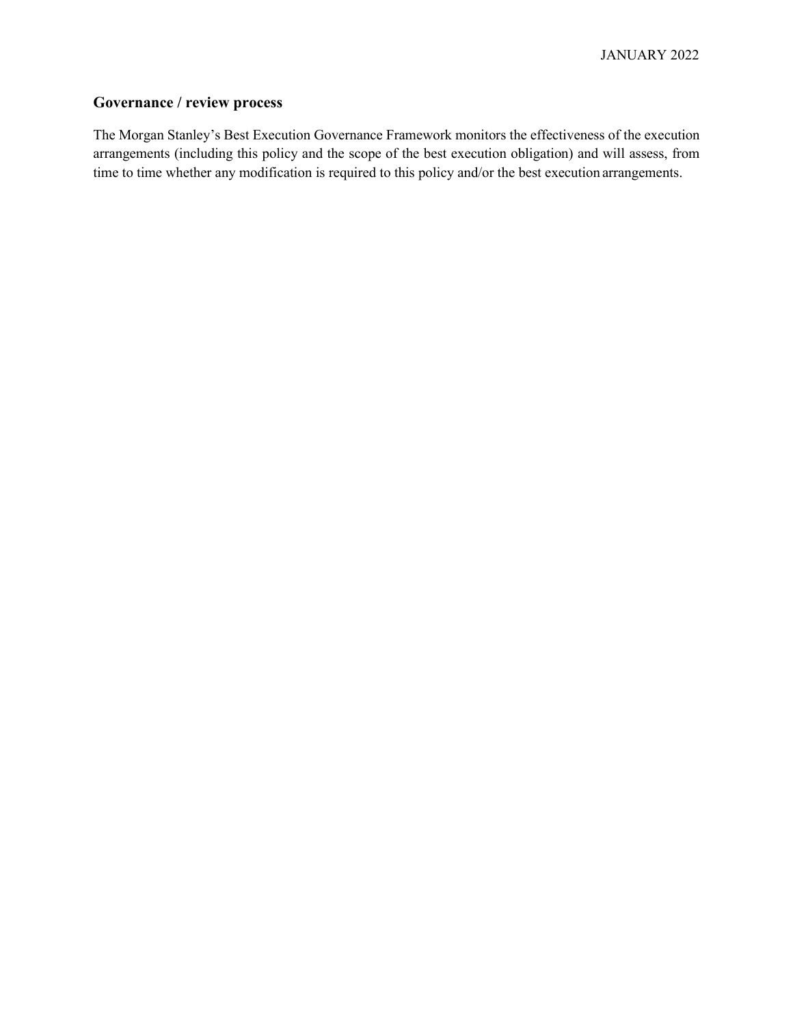# **Governance / review process**

The Morgan Stanley's Best Execution Governance Framework monitors the effectiveness of the execution arrangements (including this policy and the scope of the best execution obligation) and will assess, from time to time whether any modification is required to this policy and/or the best execution arrangements.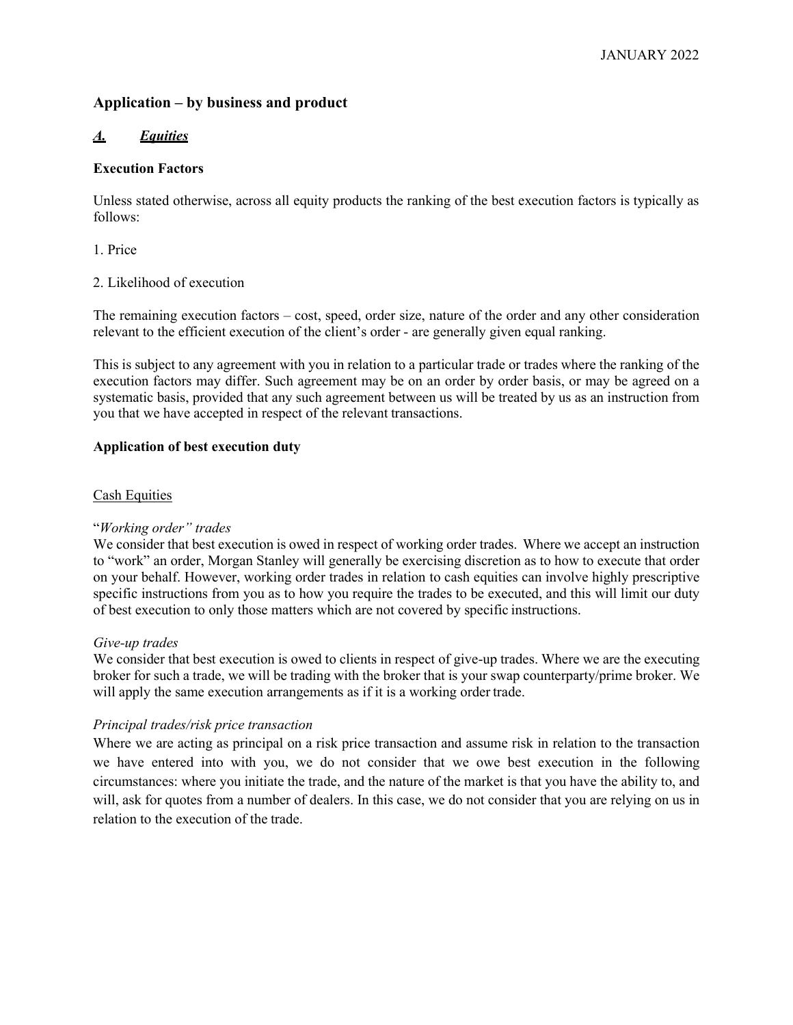# **Application – by business and product**

## *A. Equities*

## **Execution Factors**

Unless stated otherwise, across all equity products the ranking of the best execution factors is typically as follows:

1. Price

## 2. Likelihood of execution

The remaining execution factors – cost, speed, order size, nature of the order and any other consideration relevant to the efficient execution of the client's order - are generally given equal ranking.

This is subject to any agreement with you in relation to a particular trade or trades where the ranking of the execution factors may differ. Such agreement may be on an order by order basis, or may be agreed on a systematic basis, provided that any such agreement between us will be treated by us as an instruction from you that we have accepted in respect of the relevant transactions.

## **Application of best execution duty**

## Cash Equities

## "*Working order" trades*

We consider that best execution is owed in respect of working order trades. Where we accept an instruction to "work" an order, Morgan Stanley will generally be exercising discretion as to how to execute that order on your behalf. However, working order trades in relation to cash equities can involve highly prescriptive specific instructions from you as to how you require the trades to be executed, and this will limit our duty of best execution to only those matters which are not covered by specific instructions.

#### *Give-up trades*

We consider that best execution is owed to clients in respect of give-up trades. Where we are the executing broker for such a trade, we will be trading with the broker that is your swap counterparty/prime broker. We will apply the same execution arrangements as if it is a working order trade.

#### *Principal trades/risk price transaction*

Where we are acting as principal on a risk price transaction and assume risk in relation to the transaction we have entered into with you, we do not consider that we owe best execution in the following circumstances: where you initiate the trade, and the nature of the market is that you have the ability to, and will, ask for quotes from a number of dealers. In this case, we do not consider that you are relying on us in relation to the execution of the trade.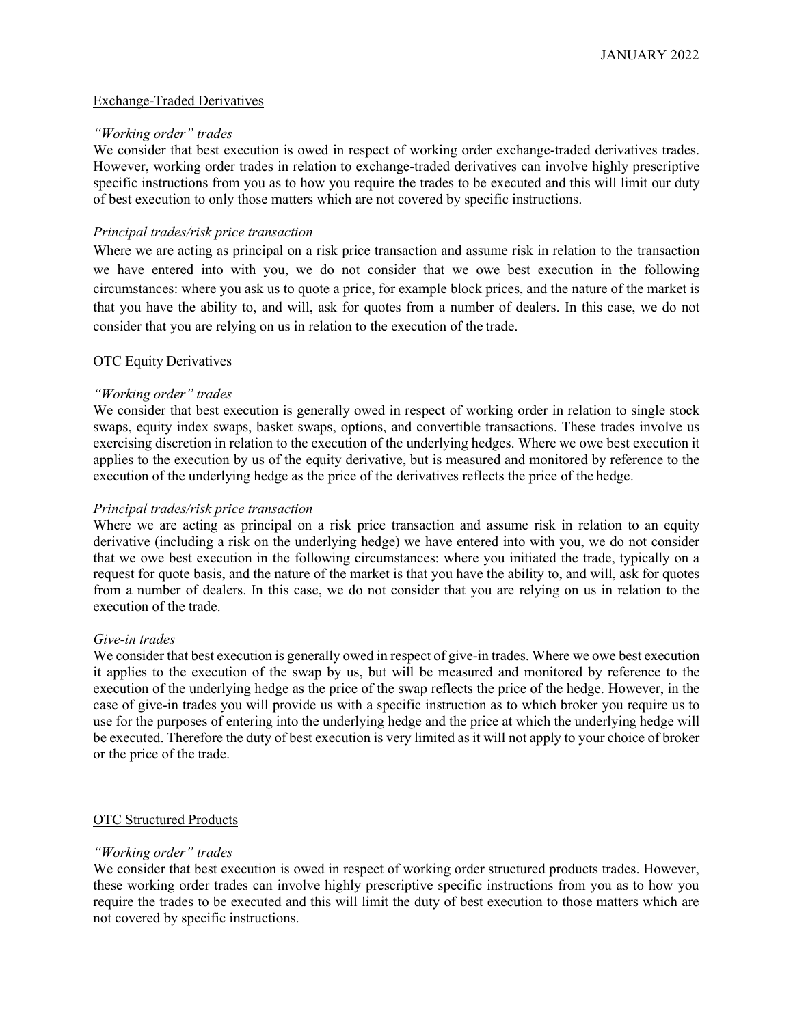## Exchange-Traded Derivatives

#### *"Working order" trades*

We consider that best execution is owed in respect of working order exchange-traded derivatives trades. However, working order trades in relation to exchange-traded derivatives can involve highly prescriptive specific instructions from you as to how you require the trades to be executed and this will limit our duty of best execution to only those matters which are not covered by specific instructions.

## *Principal trades/risk price transaction*

Where we are acting as principal on a risk price transaction and assume risk in relation to the transaction we have entered into with you, we do not consider that we owe best execution in the following circumstances: where you ask us to quote a price, for example block prices, and the nature of the market is that you have the ability to, and will, ask for quotes from a number of dealers. In this case, we do not consider that you are relying on us in relation to the execution of the trade.

## **OTC Equity Derivatives**

## *"Working order" trades*

We consider that best execution is generally owed in respect of working order in relation to single stock swaps, equity index swaps, basket swaps, options, and convertible transactions. These trades involve us exercising discretion in relation to the execution of the underlying hedges. Where we owe best execution it applies to the execution by us of the equity derivative, but is measured and monitored by reference to the execution of the underlying hedge as the price of the derivatives reflects the price of the hedge.

#### *Principal trades/risk price transaction*

Where we are acting as principal on a risk price transaction and assume risk in relation to an equity derivative (including a risk on the underlying hedge) we have entered into with you, we do not consider that we owe best execution in the following circumstances: where you initiated the trade, typically on a request for quote basis, and the nature of the market is that you have the ability to, and will, ask for quotes from a number of dealers. In this case, we do not consider that you are relying on us in relation to the execution of the trade.

#### *Give-in trades*

We consider that best execution is generally owed in respect of give-in trades. Where we owe best execution it applies to the execution of the swap by us, but will be measured and monitored by reference to the execution of the underlying hedge as the price of the swap reflects the price of the hedge. However, in the case of give-in trades you will provide us with a specific instruction as to which broker you require us to use for the purposes of entering into the underlying hedge and the price at which the underlying hedge will be executed. Therefore the duty of best execution is very limited as it will not apply to your choice of broker or the price of the trade.

#### OTC Structured Products

#### *"Working order" trades*

We consider that best execution is owed in respect of working order structured products trades. However, these working order trades can involve highly prescriptive specific instructions from you as to how you require the trades to be executed and this will limit the duty of best execution to those matters which are not covered by specific instructions.